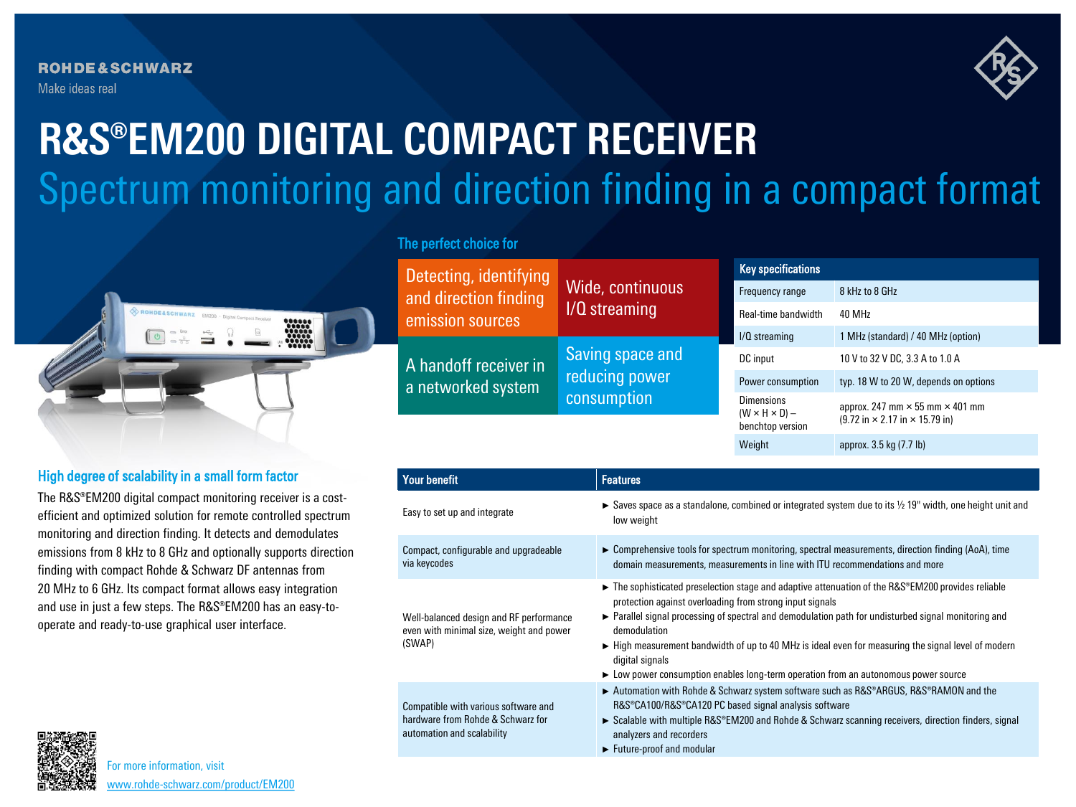**ROHDE&SCHWARZ** Make ideas real



# Spectrum monitoring and direction finding in a compact format **R&S®EM200 DIGITAL COMPACT RECEIVER**



# High degree of scalability in a small form factor

The R&S®EM200 digital compact monitoring receiver is a costefficient and optimized solution for remote controlled spectrum monitoring and direction finding. It detects and demodulates emissions from 8 kHz to 8 GHz and optionally supports direction finding with compact Rohde & Schwarz DF antennas from 20 MHz to 6 GHz. Its compact format allows easy integration and use in just a few steps. The R&S®EM200 has an easy-tooperate and ready-to-use graphical user interface.

# The perfect choice for

Detecting, identifying and direction finding emission sources Wide, continuous I/Q streaming A handoff receiver in a networked system Saving space and reducing power consumption Key specifications Frequency range 8 kHz to 8 GHz Real-time bandwidth 40 MHz I/Q streaming 1 MHz (standard) / 40 MHz (option) DC input 10 V to 32 V DC, 3.3 A to 1.0 A Power consumption typ. 18 W to 20 W, depends on options Dimensions  $(W \times H \times D)$  – benchtop version approx. 247 mm  $\times$  55 mm  $\times$  401 mm (9.72 in × 2.17 in × 15.79 in) Weight approx. 3.5 kg (7.7 lb)

| <b>Your benefit</b>                                                                                     | <b>Features</b>                                                                                                                                                                                                                                                                                                                                                                                                                                                                                                                     |
|---------------------------------------------------------------------------------------------------------|-------------------------------------------------------------------------------------------------------------------------------------------------------------------------------------------------------------------------------------------------------------------------------------------------------------------------------------------------------------------------------------------------------------------------------------------------------------------------------------------------------------------------------------|
| Easy to set up and integrate                                                                            | Saves space as a standalone, combined or integrated system due to its $\frac{1}{2}$ 19" width, one height unit and<br>low weight                                                                                                                                                                                                                                                                                                                                                                                                    |
| Compact, configurable and upgradeable<br>via keycodes                                                   | $\triangleright$ Comprehensive tools for spectrum monitoring, spectral measurements, direction finding (AoA), time<br>domain measurements, measurements in line with ITU recommendations and more                                                                                                                                                                                                                                                                                                                                   |
| Well-balanced design and RF performance<br>even with minimal size, weight and power<br>(SWAP)           | $\triangleright$ The sophisticated preselection stage and adaptive attenuation of the R&S <sup>®</sup> EM200 provides reliable<br>protection against overloading from strong input signals<br>► Parallel signal processing of spectral and demodulation path for undisturbed signal monitoring and<br>demodulation<br>► High measurement bandwidth of up to 40 MHz is ideal even for measuring the signal level of modern<br>digital signals<br>• Low power consumption enables long-term operation from an autonomous power source |
| Compatible with various software and<br>hardware from Rohde & Schwarz for<br>automation and scalability | ► Automation with Rohde & Schwarz system software such as R&S®ARGUS, R&S®RAMON and the<br>R&S®CA100/R&S®CA120 PC based signal analysis software<br>► Scalable with multiple R&S <sup>®</sup> EM200 and Rohde & Schwarz scanning receivers, direction finders, signal<br>analyzers and recorders<br>Future-proof and modular                                                                                                                                                                                                         |